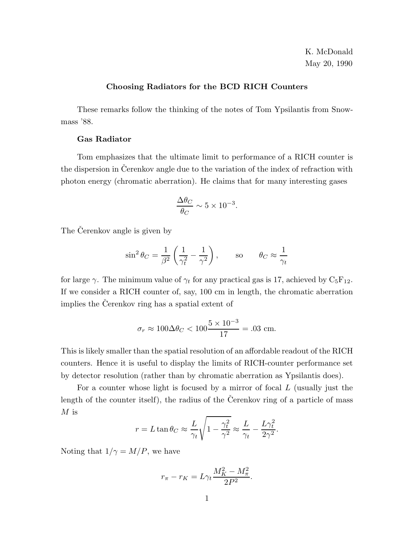K. McDonald May 20, 1990

## **Choosing Radiators for the BCD RICH Counters**

These remarks follow the thinking of the notes of Tom Ypsilantis from Snowmass '88.

## **Gas Radiator**

Tom emphasizes that the ultimate limit to performance of a RICH counter is the dispersion in Cerenkov angle due to the variation of the index of refraction with photon energy (chromatic aberration). He claims that for many interesting gases

$$
\frac{\Delta\theta_C}{\theta_C}\sim 5\times 10^{-3}.
$$

The Čerenkov angle is given by

$$
\sin^2 \theta_C = \frac{1}{\beta^2} \left( \frac{1}{\gamma_t^2} - \frac{1}{\gamma^2} \right), \quad \text{so} \quad \theta_C \approx \frac{1}{\gamma_t}
$$

for large  $\gamma$ . The minimum value of  $\gamma_t$  for any practical gas is 17, achieved by  $C_5F_{12}$ . If we consider a RICH counter of, say, 100 cm in length, the chromatic aberration implies the Cerenkov ring has a spatial extent of

$$
\sigma_r \approx 100 \Delta \theta_C < 100 \frac{5 \times 10^{-3}}{17} = .03
$$
 cm.

This is likely smaller than the spatial resolution of an affordable readout of the RICH counters. Hence it is useful to display the limits of RICH-counter performance set by detector resolution (rather than by chromatic aberration as Ypsilantis does).

For a counter whose light is focused by a mirror of focal L (usually just the length of the counter itself), the radius of the Cerenkov ring of a particle of mass  $M$  is

$$
r = L \tan \theta_C \approx \frac{L}{\gamma_t} \sqrt{1 - \frac{\gamma_t^2}{\gamma^2}} \approx \frac{L}{\gamma_t} - \frac{L \gamma_t^2}{2\gamma^2}.
$$

Noting that  $1/\gamma = M/P$ , we have

$$
r_\pi-r_K=L\gamma_t\frac{M_K^2-M_\pi^2}{2P^2}.
$$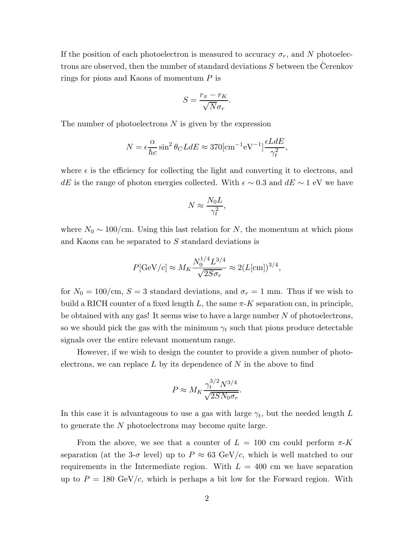If the position of each photoelectron is measured to accuracy  $\sigma_r$ , and N photoelectrons are observed, then the number of standard deviations  $S$  between the Cerenkov rings for pions and Kaons of momentum P is

$$
S = \frac{r_{\pi} - r_K}{\sqrt{N} \sigma_r}.
$$

The number of photoelectrons  $N$  is given by the expression

$$
N = \epsilon \frac{\alpha}{\hbar c} \sin^2 \theta_C L dE \approx 370 [\text{cm}^{-1} \text{eV}^{-1}] \frac{\epsilon L dE}{\gamma_t^2},
$$

where  $\epsilon$  is the efficiency for collecting the light and converting it to electrons, and dE is the range of photon energies collected. With  $\epsilon \sim 0.3$  and  $dE \sim 1$  eV we have

$$
N \approx \frac{N_0 L}{\gamma_t^2},
$$

where  $N_0 \sim 100 \text{/cm}$ . Using this last relation for N, the momentum at which pions and Kaons can be separated to S standard deviations is

$$
P[\text{GeV}/c] \approx M_K \frac{N_0^{1/4} L^{3/4}}{\sqrt{2S\sigma_r}} \approx 2(L[\text{cm}])^{3/4},
$$

for  $N_0 = 100 \, \text{/cm}$ ,  $S = 3$  standard deviations, and  $\sigma_r = 1 \, \text{mm}$ . Thus if we wish to build a RICH counter of a fixed length L, the same  $\pi$ -K separation can, in principle, be obtained with any gas! It seems wise to have a large number  $N$  of photoelectrons, so we should pick the gas with the minimum  $\gamma_t$  such that pions produce detectable signals over the entire relevant momentum range.

However, if we wish to design the counter to provide a given number of photoelectrons, we can replace  $L$  by its dependence of  $N$  in the above to find

$$
P \approx M_K \frac{\gamma_t^{3/2} N^{3/4}}{\sqrt{2 S N_0 \sigma_r}}.
$$

In this case it is advantageous to use a gas with large  $\gamma_t$ , but the needed length L to generate the N photoelectrons may become quite large.

From the above, we see that a counter of  $L = 100$  cm could perform  $\pi$ -K separation (at the 3- $\sigma$  level) up to  $P \approx 63 \text{ GeV}/c$ , which is well matched to our requirements in the Intermediate region. With  $L = 400$  cm we have separation up to  $P = 180 \text{ GeV}/c$ , which is perhaps a bit low for the Forward region. With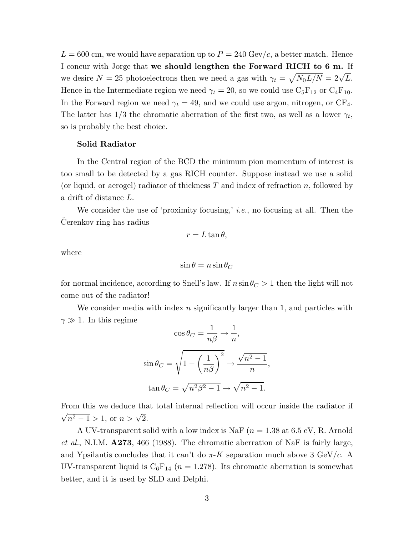$L = 600$  cm, we would have separation up to  $P = 240$  Gev/c, a better match. Hence I concur with Jorge that **we should lengthen the Forward RICH to 6 m.** If we desire  $N = 25$  photoelectrons then we need a gas with  $\gamma_t = \sqrt{N_0 L/N} = 2\sqrt{L}$ . Hence in the Intermediate region we need  $\gamma_t = 20$ , so we could use  $C_5F_{12}$  or  $C_4F_{10}$ . In the Forward region we need  $\gamma_t = 49$ , and we could use argon, nitrogen, or CF<sub>4</sub>. The latter has  $1/3$  the chromatic aberration of the first two, as well as a lower  $\gamma_t$ , so is probably the best choice.

## **Solid Radiator**

In the Central region of the BCD the minimum pion momentum of interest is too small to be detected by a gas RICH counter. Suppose instead we use a solid (or liquid, or aerogel) radiator of thickness  $T$  and index of refraction  $n$ , followed by a drift of distance L.

We consider the use of 'proximity focusing,' *i.e.*, no focusing at all. Then the Cerenkov ring has radius

$$
r = L \tan \theta,
$$

where

$$
\sin\theta=n\sin\theta_C
$$

for normal incidence, according to Snell's law. If  $n \sin \theta_C > 1$  then the light will not come out of the radiator!

We consider media with index  $n$  significantly larger than 1, and particles with  $\gamma \gg 1$ . In this regime

$$
\cos \theta_C = \frac{1}{n\beta} \to \frac{1}{n},
$$
  

$$
\sin \theta_C = \sqrt{1 - \left(\frac{1}{n\beta}\right)^2} \to \frac{\sqrt{n^2 - 1}}{n},
$$
  

$$
\tan \theta_C = \sqrt{n^2 \beta^2 - 1} \to \sqrt{n^2 - 1}.
$$

From this we deduce that total internal reflection will occur inside the radiator if  $\sqrt{n^2 - 1} > 1$ , or  $n > \sqrt{2}$ .

A UV-transparent solid with a low index is NaF ( $n = 1.38$  at 6.5 eV, R. Arnold *et al.*, N.I.M. **A273**, 466 (1988). The chromatic aberration of NaF is fairly large, and Ypsilantis concludes that it can't do  $\pi$ -K separation much above 3 GeV/c. A UV-transparent liquid is  $C_6F_{14}$  ( $n = 1.278$ ). Its chromatic aberration is somewhat better, and it is used by SLD and Delphi.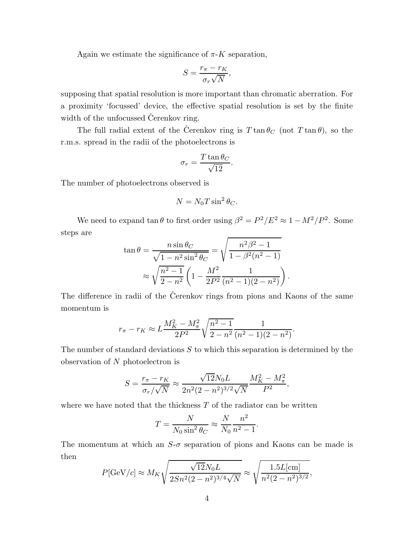Again we estimate the significance of  $\pi$ -K separation,

$$
S = \frac{r_{\pi} - r_K}{\sigma_r \sqrt{N}},
$$

supposing that spatial resolution is more important than chromatic aberration. For a proximity 'focussed' device, the effective spatial resolution is set by the finite width of the unfocussed Cerenkov ring.

The full radial extent of the Cerenkov ring is  $T \tan \theta_C$  (not  $T \tan \theta$ ), so the r.m.s. spread in the radii of the photoelectrons is

$$
\sigma_r = \frac{T \tan \theta_C}{\sqrt{12}}.
$$

The number of photoelectrons observed is

$$
N=N_0 T \sin^2\theta_C.
$$

We need to expand tan  $\theta$  to first order using  $\beta^2 = P^2/E^2 \approx 1 - M^2/P^2$ . Some steps are

$$
\tan \theta = \frac{n \sin \theta_C}{\sqrt{1 - n^2 \sin^2 \theta_C}} = \sqrt{\frac{n^2 \beta^2 - 1}{1 - \beta^2 (n^2 - 1)}}
$$

$$
\approx \sqrt{\frac{n^2 - 1}{2 - n^2}} \left(1 - \frac{M^2}{2P^2} \frac{1}{(n^2 - 1)(2 - n^2)}\right)
$$

.

The difference in radii of the Čerenkov rings from pions and Kaons of the same momentum is

$$
r_{\pi} - r_K \approx L \frac{M_K^2 - M_{\pi}^2}{2P^2} \sqrt{\frac{n^2 - 1}{2 - n^2}} \frac{1}{(n^2 - 1)(2 - n^2)}.
$$

The number of standard deviations  $S$  to which this separation is determined by the observation of N photoelectron is

$$
S = \frac{r_{\pi} - r_K}{\sigma_r / \sqrt{N}} \approx \frac{\sqrt{12} N_0 L}{2n^2 (2 - n^2)^{3/2} \sqrt{N}} \frac{M_K^2 - M_{\pi}^2}{P^2},
$$

where we have noted that the thickness  $T$  of the radiator can be written

$$
T = \frac{N}{N_0 \sin^2 \theta_C} \approx \frac{N}{N_0} \frac{n^2}{n^2 - 1}.
$$

The momentum at which an  $S-\sigma$  separation of pions and Kaons can be made is then

$$
P[\text{GeV}/c] \approx M_K \sqrt{\frac{\sqrt{12}N_0L}{2Sn^2(2-n^2)^{3/4}\sqrt{N}}} \approx \sqrt{\frac{1.5L[\text{cm}]}{n^2(2-n^2)^{3/2}}},
$$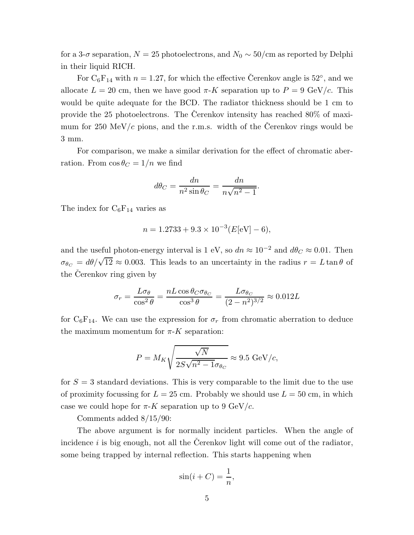for a 3- $\sigma$  separation,  $N = 25$  photoelectrons, and  $N_0 \sim 50$ /cm as reported by Delphi in their liquid RICH.

For  $C_6F_{14}$  with  $n = 1.27$ , for which the effective Cerenkov angle is 52°, and we allocate  $L = 20$  cm, then we have good  $\pi$ -K separation up to  $P = 9$  GeV/c. This would be quite adequate for the BCD. The radiator thickness should be 1 cm to provide the 25 photoelectrons. The Cerenkov intensity has reached  $80\%$  of maximum for 250 MeV/c pions, and the r.m.s. width of the Cerenkov rings would be 3 mm.

For comparison, we make a similar derivation for the effect of chromatic aberration. From  $\cos \theta_C = 1/n$  we find

$$
d\theta_C = \frac{dn}{n^2 \sin \theta_C} = \frac{dn}{n\sqrt{n^2 - 1}}.
$$

The index for  $C_6F_{14}$  varies as

$$
n = 1.2733 + 9.3 \times 10^{-3} (E[eV] - 6),
$$

and the useful photon-energy interval is 1 eV, so  $dn \approx 10^{-2}$  and  $d\theta_C \approx 0.01$ . Then  $\sigma_{\theta_C} = d\theta/\sqrt{12} \approx 0.003$ . This leads to an uncertainty in the radius  $r = L \tan \theta$  of the Cerenkov ring given by

$$
\sigma_r = \frac{L\sigma_\theta}{\cos^2\theta} = \frac{nL\cos\theta_C\sigma_{\theta_C}}{\cos^3\theta} = \frac{L\sigma_{\theta_C}}{(2 - n^2)^{3/2}} \approx 0.012L
$$

for  $C_6F_{14}$ . We can use the expression for  $\sigma_r$  from chromatic aberration to deduce the maximum momentum for  $\pi$ -K separation:

$$
P = M_K \sqrt{\frac{\sqrt{N}}{2S\sqrt{n^2 - 1}\sigma_{\theta_C}}} \approx 9.5 \text{ GeV}/c,
$$

for  $S = 3$  standard deviations. This is very comparable to the limit due to the use of proximity focussing for  $L = 25$  cm. Probably we should use  $L = 50$  cm, in which case we could hope for  $\pi$ -K separation up to 9 GeV/c.

Comments added 8/15/90:

The above argument is for normally incident particles. When the angle of incidence i is big enough, not all the Cerenkov light will come out of the radiator, some being trapped by internal reflection. This starts happening when

$$
\sin(i+C) = \frac{1}{n},
$$